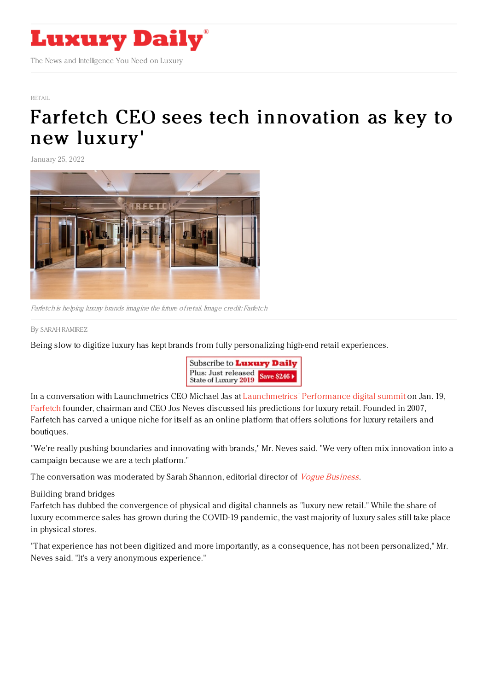

[RETAIL](https://www.luxurydaily.com/category/sectors/retail-industry-sectors/)

## Farfetch CEO sees tech [innovation](https://www.luxurydaily.com/farfetch-jose-neves-luxury-new-retail/) as key to new luxury'

January 25, 2022



Farfetch is helping luxury brands imagine the future ofretail. Image credit: Farfetch

## By SARAH [RAMIREZ](file:///author/sarah-ramirez)

Being slow to digitize luxury has kept brands from fully personalizing high-end retail experiences.



In a conversation with Launchmetrics CEO Michael Jas at [Launchmetrics'](https://www.launchmetrics.com/performance-summit/) Performance digital summit on Jan. 19, [Farfetch](https://www.farfetch.com/shopping/women/items.aspx) founder, chairman and CEO Jos Neves discussed his predictions for luxury retail. Founded in 2007, Farfetch has carved a unique niche for itself as an online platform that offers solutions for luxury retailers and boutiques.

"We're really pushing boundaries and innovating with brands," Mr. Neves said. "We very often mix innovation into a campaign because we are a tech platform."

The conversation was moderated by Sarah Shannon, editorial director of *Vogue [Business](https://www.voguebusiness.com/)*.

## Building brand bridges

Farfetch has dubbed the convergence of physical and digital channels as "luxury new retail." While the share of luxury ecommerce sales has grown during the COVID-19 pandemic, the vast majority of luxury sales still take place in physical stores.

"That experience has not been digitized and more importantly, as a consequence, has not been personalized," Mr. Neves said. "It's a very anonymous experience."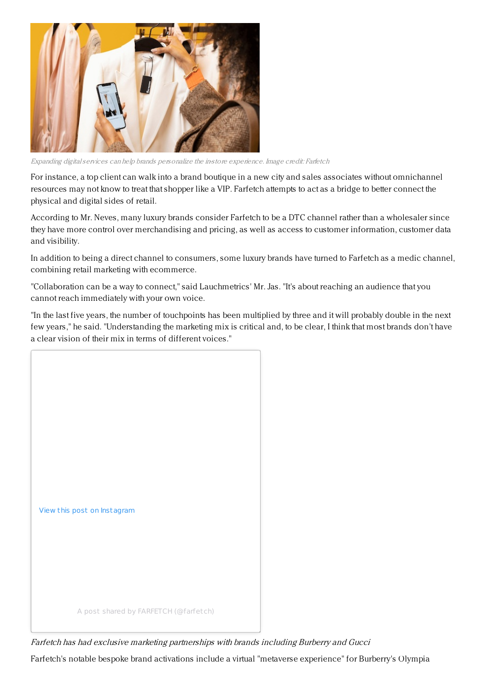

Expanding digitalservices can help brands personalize the in-store experience. Image credit: Farfetch

For instance, a top client can walk into a brand boutique in a new city and sales associates without omnichannel resources may not know to treat that shopper like a VIP. Farfetch attempts to act as a bridge to better connect the physical and digital sides of retail.

According to Mr. Neves, many luxury brands consider Farfetch to be a DTC channel rather than a wholesaler since they have more control over merchandising and pricing, as well as access to customer information, customer data and visibility.

In addition to being a direct channel to consumers, some luxury brands have turned to Farfetch as a medic channel, combining retail marketing with ecommerce.

"Collaboration can be a way to connect," said Lauchmetrics' Mr. Jas. "It's about reaching an audience that you cannot reach immediately with your own voice.

"In the last five years, the number of touchpoints has been multiplied by three and it will probably double in the next few years," he said. "Understanding the marketing mix is critical and, to be clear, I think that most brands don't have a clear vision of their mix in terms of different voices."



Farfetch has had exclusive marketing partnerships with brands including Burberry and Gucci

Farfetch's notable bespoke brand activations include a virtual "metaverse experience" for Burberry's Olympia